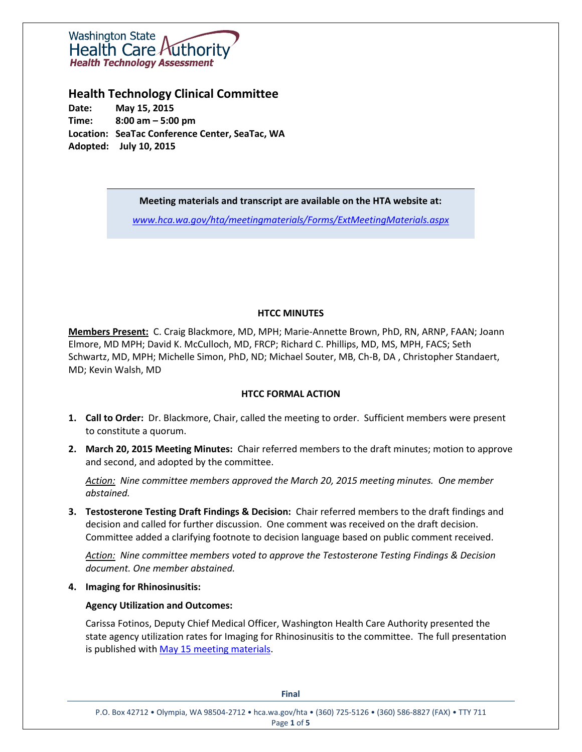

# **Health Technology Clinical Committee**

**Date: May 15, 2015 Time: 8:00 am – 5:00 pm Location: SeaTac Conference Center, SeaTac, WA Adopted: July 10, 2015**

**Meeting materials and transcript are available on the HTA website at:**

*[www.hca.wa.gov/hta/meetingmaterials/Forms/ExtMeetingMaterials.aspx](http://www.hca.wa.gov/hta/meetingmaterials/Forms/ExtMeetingMaterials.aspx)*

# **HTCC MINUTES**

**Members Present:** C. Craig Blackmore, MD, MPH; Marie-Annette Brown, PhD, RN, ARNP, FAAN; Joann Elmore, MD MPH; David K. McCulloch, MD, FRCP; Richard C. Phillips, MD, MS, MPH, FACS; Seth Schwartz, MD, MPH; Michelle Simon, PhD, ND; Michael Souter, MB, Ch-B, DA , Christopher Standaert, MD; Kevin Walsh, MD

# **HTCC FORMAL ACTION**

- **1. Call to Order:** Dr. Blackmore, Chair, called the meeting to order. Sufficient members were present to constitute a quorum.
- **2. March 20, 2015 Meeting Minutes:** Chair referred members to the draft minutes; motion to approve and second, and adopted by the committee.

*Action: Nine committee members approved the March 20, 2015 meeting minutes. One member abstained.* 

**3. Testosterone Testing Draft Findings & Decision:** Chair referred members to the draft findings and decision and called for further discussion. One comment was received on the draft decision. Committee added a clarifying footnote to decision language based on public comment received.

*Action: Nine committee members voted to approve the Testosterone Testing Findings & Decision document. One member abstained.*

**4. Imaging for Rhinosinusitis:**

# **Agency Utilization and Outcomes:**

Carissa Fotinos, Deputy Chief Medical Officer, Washington Health Care Authority presented the state agency utilization rates for Imaging for Rhinosinusitis to the committee. The full presentation is published with May 15 [meeting materials.](http://www.hca.wa.gov/hta/meetingmaterials/Forms/ExtMeetingMaterials.aspx)

**Final**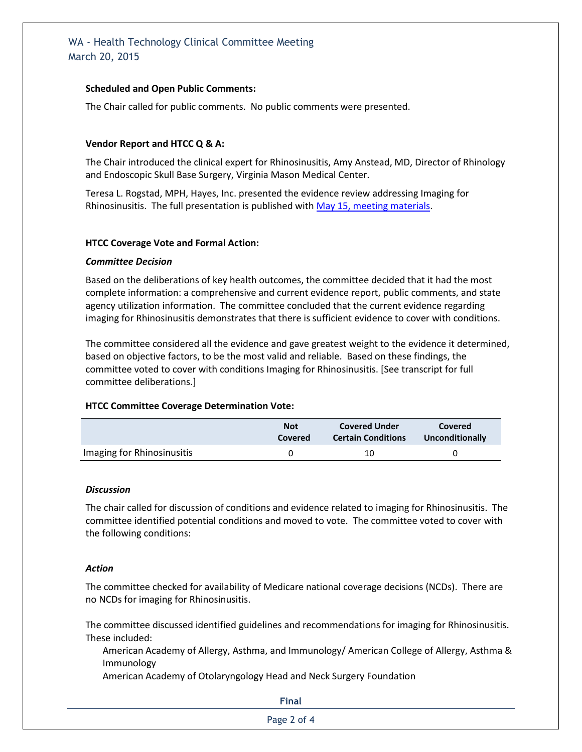# WA - Health Technology Clinical Committee Meeting March 20, 2015

# **Scheduled and Open Public Comments:**

The Chair called for public comments. No public comments were presented.

## **Vendor Report and HTCC Q & A:**

The Chair introduced the clinical expert for Rhinosinusitis, Amy Anstead, MD, Director of Rhinology and Endoscopic Skull Base Surgery, Virginia Mason Medical Center.

Teresa L. Rogstad, MPH, Hayes, Inc. presented the evidence review addressing Imaging for Rhinosinusitis. The full presentation is published with May 15, [meeting materials.](http://www.hca.wa.gov/hta/meetingmaterials/Forms/ExtMeetingMaterials.aspx)

## **HTCC Coverage Vote and Formal Action:**

#### *Committee Decision*

Based on the deliberations of key health outcomes, the committee decided that it had the most complete information: a comprehensive and current evidence report, public comments, and state agency utilization information. The committee concluded that the current evidence regarding imaging for Rhinosinusitis demonstrates that there is sufficient evidence to cover with conditions.

The committee considered all the evidence and gave greatest weight to the evidence it determined, based on objective factors, to be the most valid and reliable. Based on these findings, the committee voted to cover with conditions Imaging for Rhinosinusitis. [See transcript for full committee deliberations.]

## **HTCC Committee Coverage Determination Vote:**

|                            | <b>Not</b> | <b>Covered Under</b>      | Covered         |
|----------------------------|------------|---------------------------|-----------------|
|                            | Covered    | <b>Certain Conditions</b> | Unconditionally |
| Imaging for Rhinosinusitis |            | 10                        |                 |

#### *Discussion*

The chair called for discussion of conditions and evidence related to imaging for Rhinosinusitis. The committee identified potential conditions and moved to vote. The committee voted to cover with the following conditions:

#### *Action*

The committee checked for availability of Medicare national coverage decisions (NCDs). There are no NCDs for imaging for Rhinosinusitis.

The committee discussed identified guidelines and recommendations for imaging for Rhinosinusitis. These included:

American Academy of Allergy, Asthma, and Immunology/ American College of Allergy, Asthma & Immunology

American Academy of Otolaryngology Head and Neck Surgery Foundation

**Final** 

Page 2 of 4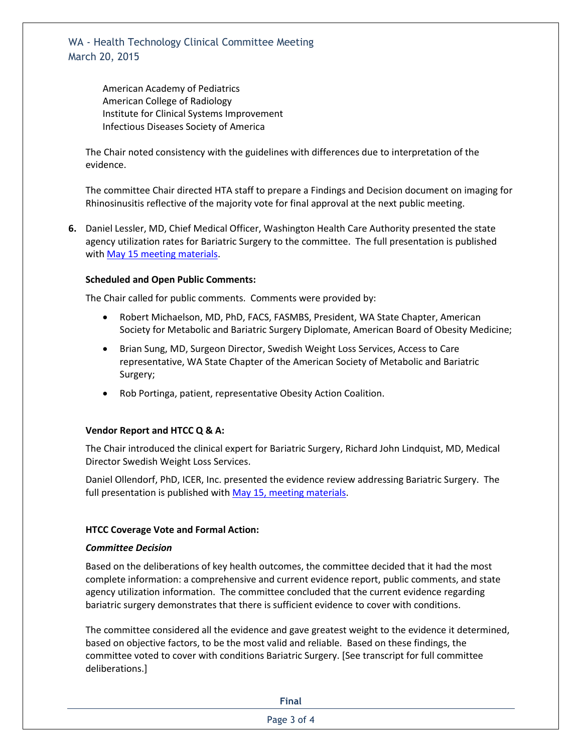WA - Health Technology Clinical Committee Meeting March 20, 2015

> American Academy of Pediatrics American College of Radiology Institute for Clinical Systems Improvement Infectious Diseases Society of America

The Chair noted consistency with the guidelines with differences due to interpretation of the evidence.

The committee Chair directed HTA staff to prepare a Findings and Decision document on imaging for Rhinosinusitis reflective of the majority vote for final approval at the next public meeting.

**6.** Daniel Lessler, MD, Chief Medical Officer, Washington Health Care Authority presented the state agency utilization rates for Bariatric Surgery to the committee. The full presentation is published with May 15 [meeting materials.](http://www.hca.wa.gov/hta/meetingmaterials/Forms/ExtMeetingMaterials.aspx)

## **Scheduled and Open Public Comments:**

The Chair called for public comments. Comments were provided by:

- Robert Michaelson, MD, PhD, FACS, FASMBS, President, WA State Chapter, American Society for Metabolic and Bariatric Surgery Diplomate, American Board of Obesity Medicine;
- Brian Sung, MD, Surgeon Director, Swedish Weight Loss Services, Access to Care representative, WA State Chapter of the American Society of Metabolic and Bariatric Surgery;
- Rob Portinga, patient, representative Obesity Action Coalition.

## **Vendor Report and HTCC Q & A:**

The Chair introduced the clinical expert for Bariatric Surgery, Richard John Lindquist, MD, Medical Director Swedish Weight Loss Services.

Daniel Ollendorf, PhD, ICER, Inc. presented the evidence review addressing Bariatric Surgery. The full presentation is published with May 15, [meeting materials.](http://www.hca.wa.gov/hta/meetingmaterials/Forms/ExtMeetingMaterials.aspx)

## **HTCC Coverage Vote and Formal Action:**

## *Committee Decision*

Based on the deliberations of key health outcomes, the committee decided that it had the most complete information: a comprehensive and current evidence report, public comments, and state agency utilization information. The committee concluded that the current evidence regarding bariatric surgery demonstrates that there is sufficient evidence to cover with conditions.

The committee considered all the evidence and gave greatest weight to the evidence it determined, based on objective factors, to be the most valid and reliable. Based on these findings, the committee voted to cover with conditions Bariatric Surgery. [See transcript for full committee deliberations.]

**Final**  Page 3 of 4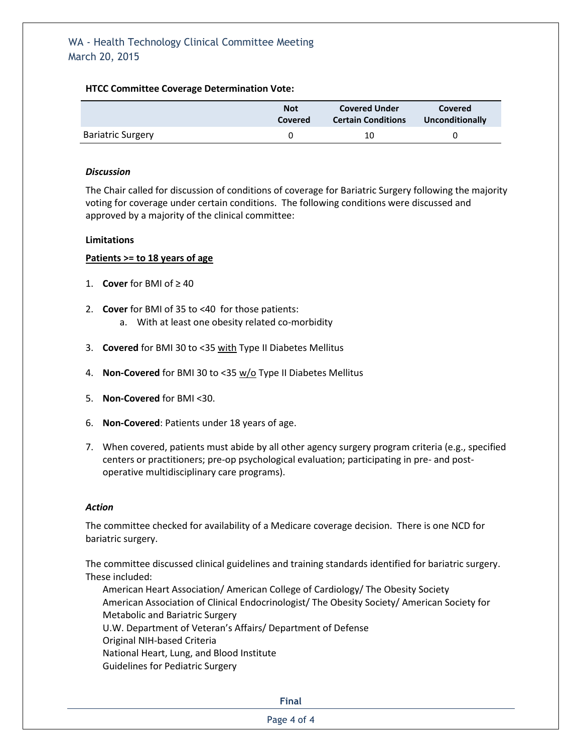# **HTCC Committee Coverage Determination Vote:**

|                          | <b>Not</b> | <b>Covered Under</b>      | Covered         |
|--------------------------|------------|---------------------------|-----------------|
|                          | Covered    | <b>Certain Conditions</b> | Unconditionally |
| <b>Bariatric Surgery</b> |            | 10                        |                 |

#### *Discussion*

The Chair called for discussion of conditions of coverage for Bariatric Surgery following the majority voting for coverage under certain conditions. The following conditions were discussed and approved by a majority of the clinical committee:

#### **Limitations**

## **Patients >= to 18 years of age**

- 1. **Cover** for BMI of  $\geq 40$
- 2. **Cover** for BMI of 35 to <40 for those patients: a. With at least one obesity related co-morbidity
- 3. **Covered** for BMI 30 to <35 with Type II Diabetes Mellitus
- 4. **Non-Covered** for BMI 30 to <35 w/o Type II Diabetes Mellitus
- 5. **Non-Covered** for BMI <30.
- 6. **Non-Covered**: Patients under 18 years of age.
- 7. When covered, patients must abide by all other agency surgery program criteria (e.g., specified centers or practitioners; pre-op psychological evaluation; participating in pre- and postoperative multidisciplinary care programs).

## *Action*

The committee checked for availability of a Medicare coverage decision. There is one NCD for bariatric surgery.

The committee discussed clinical guidelines and training standards identified for bariatric surgery. These included:

American Heart Association/ American College of Cardiology/ The Obesity Society American Association of Clinical Endocrinologist/ The Obesity Society/ American Society for Metabolic and Bariatric Surgery U.W. Department of Veteran's Affairs/ Department of Defense Original NIH-based Criteria National Heart, Lung, and Blood Institute Guidelines for Pediatric Surgery

**Final** 

Page 4 of 4